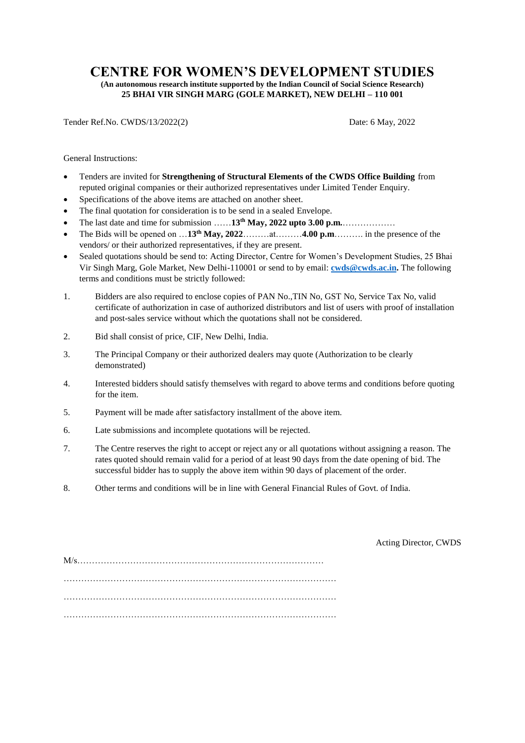## **CENTRE FOR WOMEN'S DEVELOPMENT STUDIES**

**(An autonomous research institute supported by the Indian Council of Social Science Research) 25 BHAI VIR SINGH MARG (GOLE MARKET), NEW DELHI – 110 001**

Tender Ref.No. CWDS/13/2022(2) Date: 6 May, 2022

General Instructions:

- Tenders are invited for **Strengthening of Structural Elements of the CWDS Office Building** from reputed original companies or their authorized representatives under Limited Tender Enquiry.
- Specifications of the above items are attached on another sheet.
- The final quotation for consideration is to be send in a sealed Envelope.
- The last date and time for submission ……**13 th May, 2022 upto 3.00 p.m.**………………
- The Bids will be opened on …**13th May, 2022**………at………**4.00 p.m**………. in the presence of the vendors/ or their authorized representatives, if they are present.
- Sealed quotations should be send to: Acting Director, Centre for Women's Development Studies, 25 Bhai Vir Singh Marg, Gole Market, New Delhi-110001 or send to by email: **[cwds@cwds.ac.in.](mailto:cwds@cwds.ac.in)** The following terms and conditions must be strictly followed:
- 1. Bidders are also required to enclose copies of PAN No.,TIN No, GST No, Service Tax No, valid certificate of authorization in case of authorized distributors and list of users with proof of installation and post-sales service without which the quotations shall not be considered.
- 2. Bid shall consist of price, CIF, New Delhi, India.
- 3. The Principal Company or their authorized dealers may quote (Authorization to be clearly demonstrated)
- 4. Interested bidders should satisfy themselves with regard to above terms and conditions before quoting for the item.
- 5. Payment will be made after satisfactory installment of the above item.
- 6. Late submissions and incomplete quotations will be rejected.
- 7. The Centre reserves the right to accept or reject any or all quotations without assigning a reason. The rates quoted should remain valid for a period of at least 90 days from the date opening of bid. The successful bidder has to supply the above item within 90 days of placement of the order.
- 8. Other terms and conditions will be in line with General Financial Rules of Govt. of India.

Acting Director, CWDS